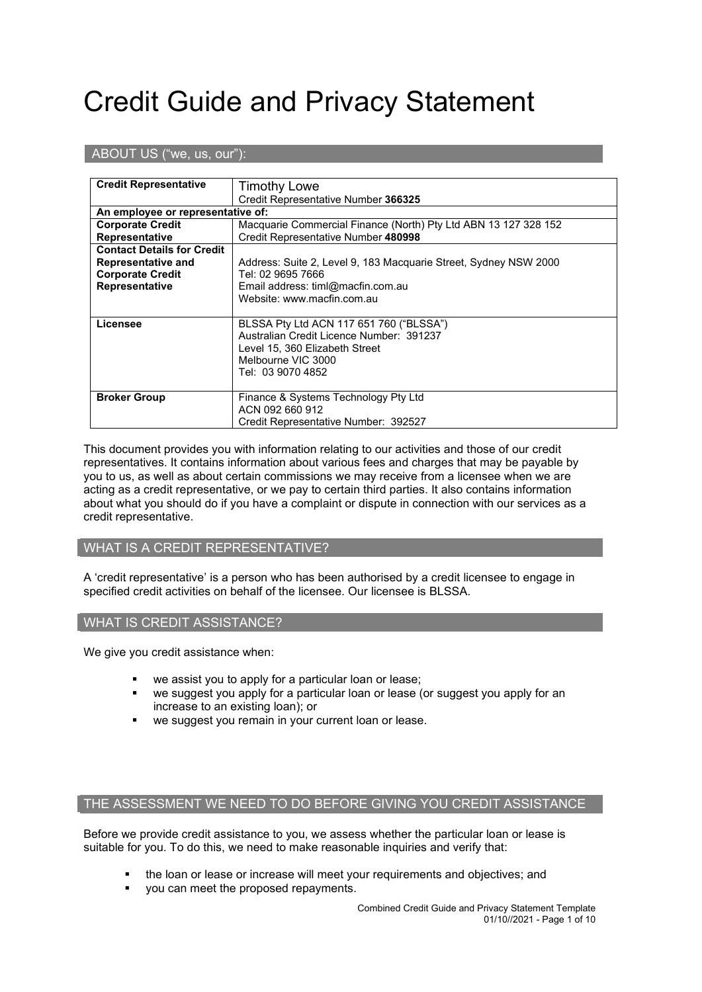# Credit Guide and Privacy Statement

# ABOUT US ("we, us, our"):

| <b>Credit Representative</b>      | <b>Timothy Lowe</b>                                              |  |
|-----------------------------------|------------------------------------------------------------------|--|
|                                   | Credit Representative Number 366325                              |  |
| An employee or representative of: |                                                                  |  |
| <b>Corporate Credit</b>           | Macquarie Commercial Finance (North) Pty Ltd ABN 13 127 328 152  |  |
| Representative                    | Credit Representative Number 480998                              |  |
| <b>Contact Details for Credit</b> |                                                                  |  |
| Representative and                | Address: Suite 2, Level 9, 183 Macquarie Street, Sydney NSW 2000 |  |
| <b>Corporate Credit</b>           | Tel: 02 9695 7666                                                |  |
| Representative                    | Email address: timl@macfin.com.au                                |  |
|                                   | Website: www.macfin.com.au                                       |  |
|                                   |                                                                  |  |
| Licensee                          | BLSSA Pty Ltd ACN 117 651 760 ("BLSSA")                          |  |
|                                   | Australian Credit Licence Number: 391237                         |  |
|                                   | Level 15, 360 Elizabeth Street                                   |  |
|                                   | Melbourne VIC 3000                                               |  |
|                                   | Tel: 03 9070 4852                                                |  |
|                                   |                                                                  |  |
| <b>Broker Group</b>               | Finance & Systems Technology Pty Ltd                             |  |
|                                   | ACN 092 660 912                                                  |  |
|                                   | Credit Representative Number: 392527                             |  |

This document provides you with information relating to our activities and those of our credit representatives. It contains information about various fees and charges that may be payable by you to us, as well as about certain commissions we may receive from a licensee when we are acting as a credit representative, or we pay to certain third parties. It also contains information about what you should do if you have a complaint or dispute in connection with our services as a credit representative.

#### WHAT IS A CREDIT REPRESENTATIVE?

A 'credit representative' is a person who has been authorised by a credit licensee to engage in specified credit activities on behalf of the licensee. Our licensee is BLSSA.

#### WHAT IS CREDIT ASSISTANCE?

We give you credit assistance when:

- we assist you to apply for a particular loan or lease;
- we suggest you apply for a particular loan or lease (or suggest you apply for an increase to an existing loan); or
- we suggest you remain in your current loan or lease.

### THE ASSESSMENT WE NEED TO DO BEFORE GIVING YOU CREDIT ASSISTANCE

Before we provide credit assistance to you, we assess whether the particular loan or lease is suitable for you. To do this, we need to make reasonable inquiries and verify that:

- the loan or lease or increase will meet your requirements and objectives; and
- you can meet the proposed repayments.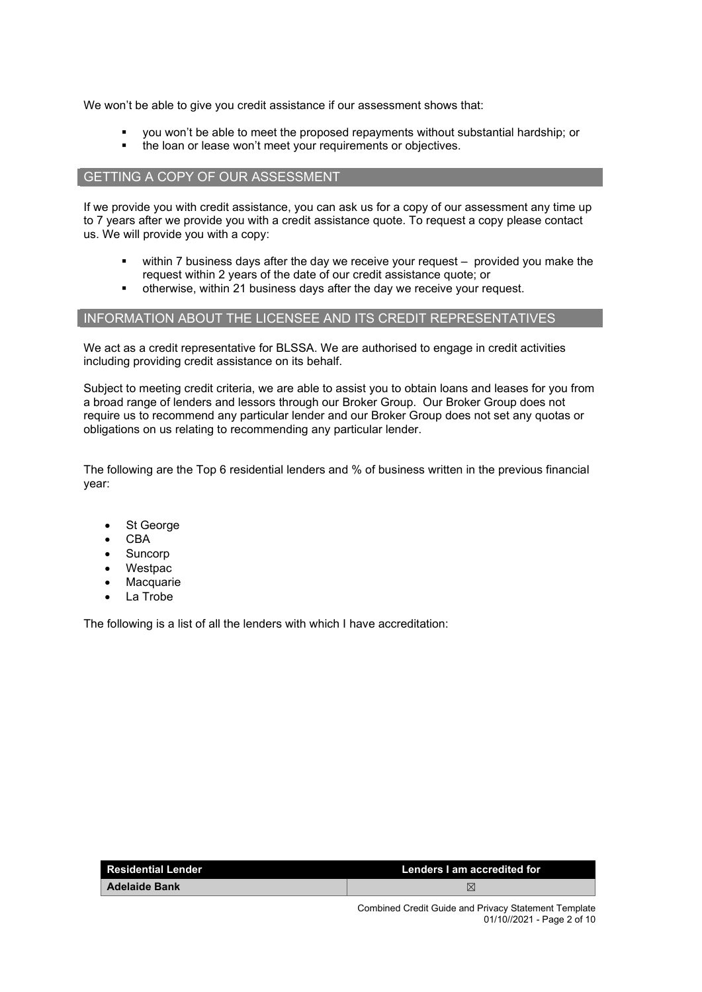We won't be able to give you credit assistance if our assessment shows that:

- you won't be able to meet the proposed repayments without substantial hardship; or
- the loan or lease won't meet your requirements or objectives.

#### GETTING A COPY OF OUR ASSESSMENT

If we provide you with credit assistance, you can ask us for a copy of our assessment any time up to 7 years after we provide you with a credit assistance quote. To request a copy please contact us. We will provide you with a copy:

- within 7 business days after the day we receive your request provided you make the request within 2 years of the date of our credit assistance quote; or
- otherwise, within 21 business days after the day we receive your request.

# INFORMATION ABOUT THE LICENSEE AND ITS CREDIT REPRESENTATIVES

We act as a credit representative for BLSSA. We are authorised to engage in credit activities including providing credit assistance on its behalf.

Subject to meeting credit criteria, we are able to assist you to obtain loans and leases for you from a broad range of lenders and lessors through our Broker Group. Our Broker Group does not require us to recommend any particular lender and our Broker Group does not set any quotas or obligations on us relating to recommending any particular lender.

The following are the Top 6 residential lenders and % of business written in the previous financial year:

- St George
- CBA
- **Suncorp**
- Westpac
- **Macquarie**
- La Trobe

The following is a list of all the lenders with which I have accreditation:

| <b>Residential Lender</b> | Lenders I am accredited for |
|---------------------------|-----------------------------|
| <b>Adelaide Bank</b>      |                             |
|                           |                             |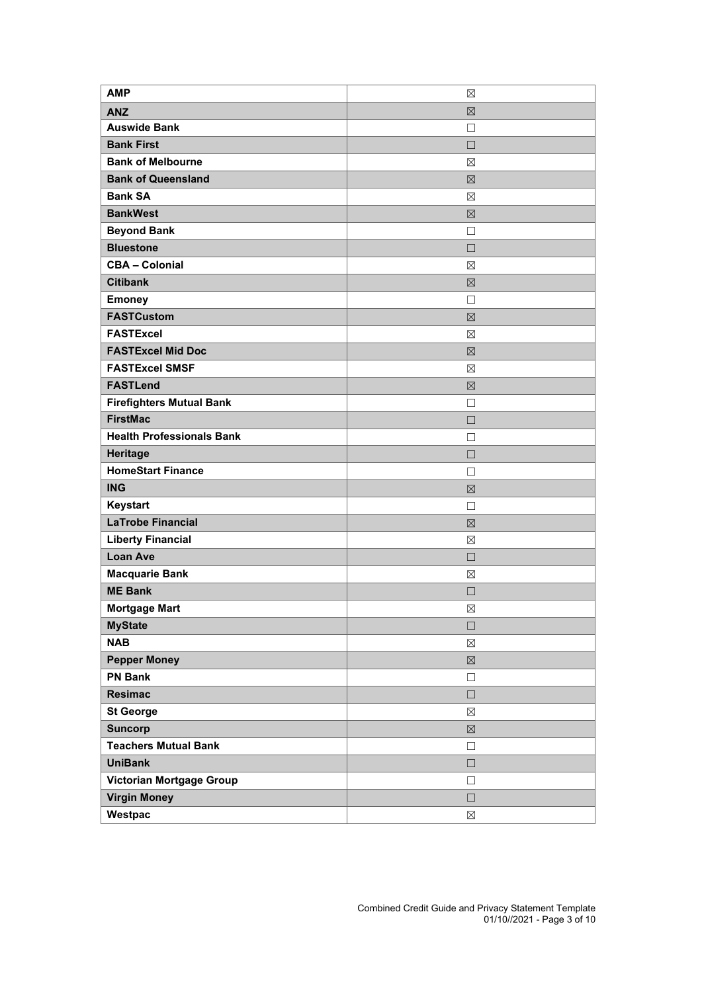| <b>AMP</b>                       | $\boxtimes$ |
|----------------------------------|-------------|
| <b>ANZ</b>                       | $\boxtimes$ |
| <b>Auswide Bank</b>              | □           |
| <b>Bank First</b>                | $\Box$      |
| <b>Bank of Melbourne</b>         | ⊠           |
| <b>Bank of Queensland</b>        | $\boxtimes$ |
| <b>Bank SA</b>                   | ⊠           |
| <b>BankWest</b>                  | $\boxtimes$ |
| <b>Beyond Bank</b>               | П           |
| <b>Bluestone</b>                 | $\Box$      |
| <b>CBA - Colonial</b>            | $\boxtimes$ |
| <b>Citibank</b>                  | $\boxtimes$ |
| <b>Emoney</b>                    | П           |
| <b>FASTCustom</b>                | $\boxtimes$ |
| <b>FASTExcel</b>                 | ⊠           |
| <b>FASTExcel Mid Doc</b>         | $\boxtimes$ |
| <b>FASTExcel SMSF</b>            | ⊠           |
| <b>FASTLend</b>                  | $\boxtimes$ |
| <b>Firefighters Mutual Bank</b>  | П           |
| <b>FirstMac</b>                  | $\Box$      |
| <b>Health Professionals Bank</b> | П           |
| <b>Heritage</b>                  | $\Box$      |
| <b>HomeStart Finance</b>         | П           |
| <b>ING</b>                       | $\boxtimes$ |
| Keystart                         | $\Box$      |
| <b>LaTrobe Financial</b>         | $\boxtimes$ |
| <b>Liberty Financial</b>         | ⊠           |
| <b>Loan Ave</b>                  | $\Box$      |
| <b>Macquarie Bank</b>            | ⊠           |
| <b>ME Bank</b>                   | П           |
| <b>Mortgage Mart</b>             | $\boxtimes$ |
| <b>MyState</b>                   | $\Box$      |
| <b>NAB</b>                       | $\boxtimes$ |
| <b>Pepper Money</b>              | $\boxtimes$ |
| <b>PN Bank</b>                   | $\Box$      |
| <b>Resimac</b>                   | $\Box$      |
| <b>St George</b>                 | $\boxtimes$ |
| <b>Suncorp</b>                   | $\boxtimes$ |
| <b>Teachers Mutual Bank</b>      | $\Box$      |
| <b>UniBank</b>                   | $\Box$      |
| Victorian Mortgage Group         | $\Box$      |
| <b>Virgin Money</b>              | $\Box$      |
| Westpac                          | $\boxtimes$ |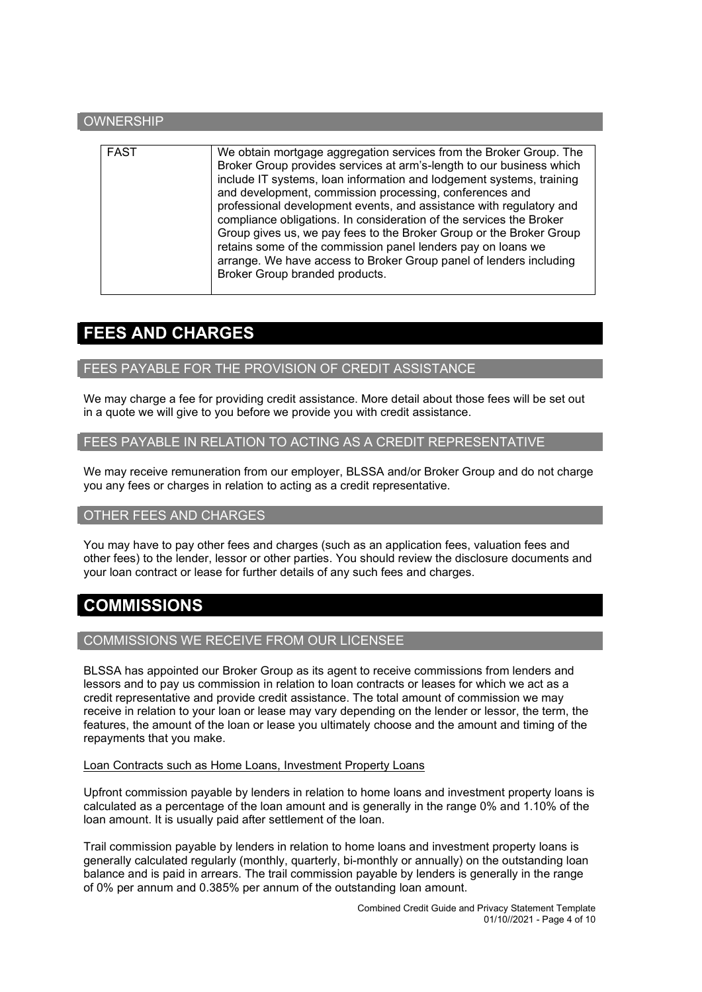# **OWNERSHIP** FAST We obtain mortgage aggregation services from the Broker Group. The Broker Group provides services at arm's-length to our business which include IT systems, loan information and lodgement systems, training and development, commission processing, conferences and professional development events, and assistance with regulatory and compliance obligations. In consideration of the services the Broker Group gives us, we pay fees to the Broker Group or the Broker Group retains some of the commission panel lenders pay on loans we arrange. We have access to Broker Group panel of lenders including Broker Group branded products.

# **FEES AND CHARGES**

#### FEES PAYABLE FOR THE PROVISION OF CREDIT ASSISTANCE

We may charge a fee for providing credit assistance. More detail about those fees will be set out in a quote we will give to you before we provide you with credit assistance.

# FEES PAYABLE IN RELATION TO ACTING AS A CREDIT REPRESENTATIVE

We may receive remuneration from our employer, BLSSA and/or Broker Group and do not charge you any fees or charges in relation to acting as a credit representative.

## OTHER FEES AND CHARGES

You may have to pay other fees and charges (such as an application fees, valuation fees and other fees) to the lender, lessor or other parties. You should review the disclosure documents and your loan contract or lease for further details of any such fees and charges.

# **COMMISSIONS**

# COMMISSIONS WE RECEIVE FROM OUR LICENSEE

BLSSA has appointed our Broker Group as its agent to receive commissions from lenders and lessors and to pay us commission in relation to loan contracts or leases for which we act as a credit representative and provide credit assistance. The total amount of commission we may receive in relation to your loan or lease may vary depending on the lender or lessor, the term, the features, the amount of the loan or lease you ultimately choose and the amount and timing of the repayments that you make.

#### Loan Contracts such as Home Loans, Investment Property Loans

Upfront commission payable by lenders in relation to home loans and investment property loans is calculated as a percentage of the loan amount and is generally in the range 0% and 1.10% of the loan amount. It is usually paid after settlement of the loan.

Trail commission payable by lenders in relation to home loans and investment property loans is generally calculated regularly (monthly, quarterly, bi-monthly or annually) on the outstanding loan balance and is paid in arrears. The trail commission payable by lenders is generally in the range of 0% per annum and 0.385% per annum of the outstanding loan amount.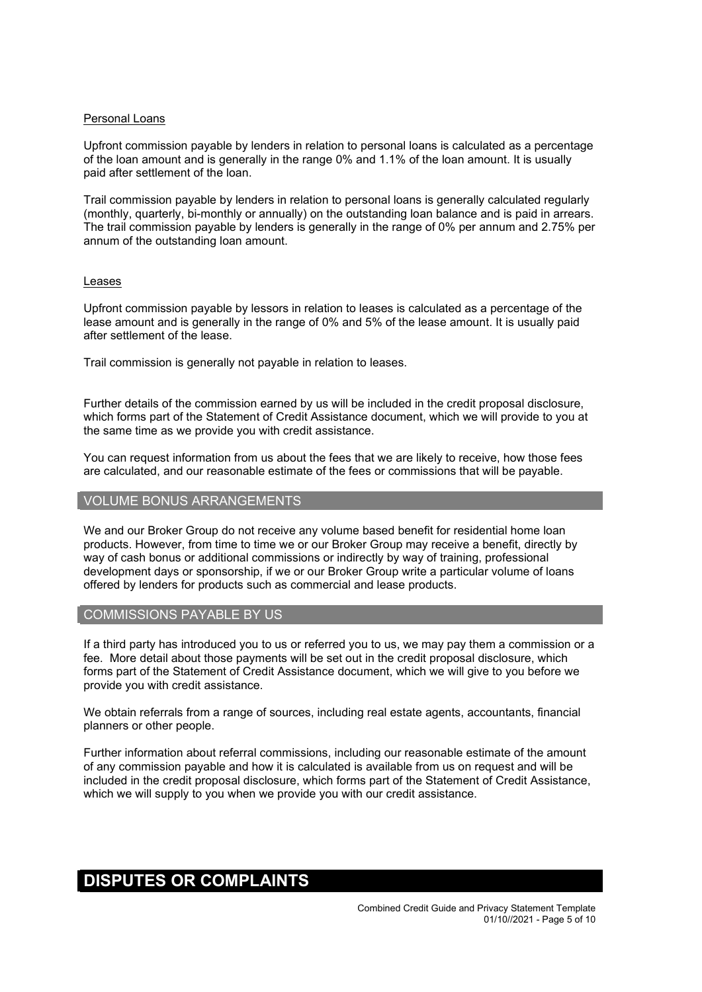#### Personal Loans

Upfront commission payable by lenders in relation to personal loans is calculated as a percentage of the loan amount and is generally in the range 0% and 1.1% of the loan amount. It is usually paid after settlement of the loan.

Trail commission payable by lenders in relation to personal loans is generally calculated regularly (monthly, quarterly, bi-monthly or annually) on the outstanding loan balance and is paid in arrears. The trail commission payable by lenders is generally in the range of 0% per annum and 2.75% per annum of the outstanding loan amount.

#### Leases

Upfront commission payable by lessors in relation to leases is calculated as a percentage of the lease amount and is generally in the range of 0% and 5% of the lease amount. It is usually paid after settlement of the lease.

Trail commission is generally not payable in relation to leases.

Further details of the commission earned by us will be included in the credit proposal disclosure, which forms part of the Statement of Credit Assistance document, which we will provide to you at the same time as we provide you with credit assistance.

You can request information from us about the fees that we are likely to receive, how those fees are calculated, and our reasonable estimate of the fees or commissions that will be payable.

#### VOLUME BONUS ARRANGEMENTS

We and our Broker Group do not receive any volume based benefit for residential home loan products. However, from time to time we or our Broker Group may receive a benefit, directly by way of cash bonus or additional commissions or indirectly by way of training, professional development days or sponsorship, if we or our Broker Group write a particular volume of loans offered by lenders for products such as commercial and lease products.

#### COMMISSIONS PAYABLE BY US

If a third party has introduced you to us or referred you to us, we may pay them a commission or a fee. More detail about those payments will be set out in the credit proposal disclosure, which forms part of the Statement of Credit Assistance document, which we will give to you before we provide you with credit assistance.

We obtain referrals from a range of sources, including real estate agents, accountants, financial planners or other people.

Further information about referral commissions, including our reasonable estimate of the amount of any commission payable and how it is calculated is available from us on request and will be included in the credit proposal disclosure, which forms part of the Statement of Credit Assistance, which we will supply to you when we provide you with our credit assistance.

# **DISPUTES OR COMPLAINTS**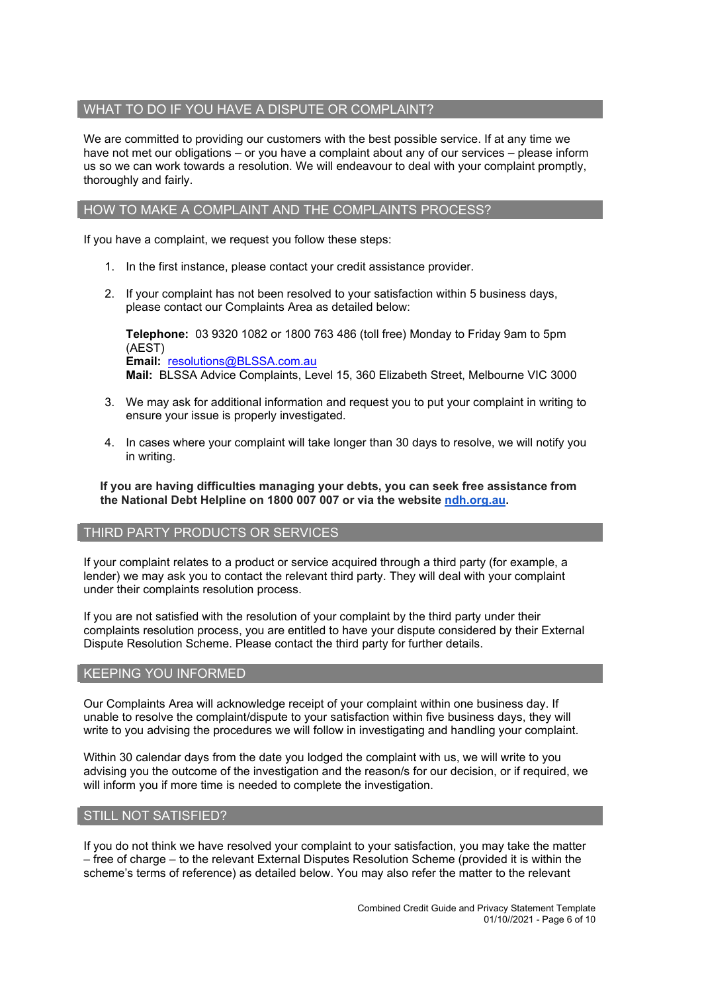## WHAT TO DO IF YOU HAVE A DISPUTE OR COMPLAINT?

We are committed to providing our customers with the best possible service. If at any time we have not met our obligations – or you have a complaint about any of our services – please inform us so we can work towards a resolution. We will endeavour to deal with your complaint promptly, thoroughly and fairly.

## HOW TO MAKE A COMPLAINT AND THE COMPLAINTS PROCESS?

If you have a complaint, we request you follow these steps:

- 1. In the first instance, please contact your credit assistance provider.
- 2. If your complaint has not been resolved to your satisfaction within 5 business days, please contact our Complaints Area as detailed below:

**Telephone:** 03 9320 1082 or 1800 763 486 (toll free) Monday to Friday 9am to 5pm (AEST) **Email:** [resolutions@BLSSA.com.au](mailto:resolutions@BLSSA.com.au) **Mail:** BLSSA Advice Complaints, Level 15, 360 Elizabeth Street, Melbourne VIC 3000

- 3. We may ask for additional information and request you to put your complaint in writing to ensure your issue is properly investigated.
- 4. In cases where your complaint will take longer than 30 days to resolve, we will notify you in writing.

**If you are having difficulties managing your debts, you can seek free assistance from the National Debt Helpline on 1800 007 007 or via the website [ndh.org.au.](http://ndh.org.au/)**

#### THIRD PARTY PRODUCTS OR SERVICES

If your complaint relates to a product or service acquired through a third party (for example, a lender) we may ask you to contact the relevant third party. They will deal with your complaint under their complaints resolution process.

If you are not satisfied with the resolution of your complaint by the third party under their complaints resolution process, you are entitled to have your dispute considered by their External Dispute Resolution Scheme. Please contact the third party for further details.

#### KEEPING YOU INFORMED

Our Complaints Area will acknowledge receipt of your complaint within one business day. If unable to resolve the complaint/dispute to your satisfaction within five business days, they will write to you advising the procedures we will follow in investigating and handling your complaint.

Within 30 calendar days from the date you lodged the complaint with us, we will write to you advising you the outcome of the investigation and the reason/s for our decision, or if required, we will inform you if more time is needed to complete the investigation.

#### STILL NOT SATISFIED?

If you do not think we have resolved your complaint to your satisfaction, you may take the matter – free of charge – to the relevant External Disputes Resolution Scheme (provided it is within the scheme's terms of reference) as detailed below. You may also refer the matter to the relevant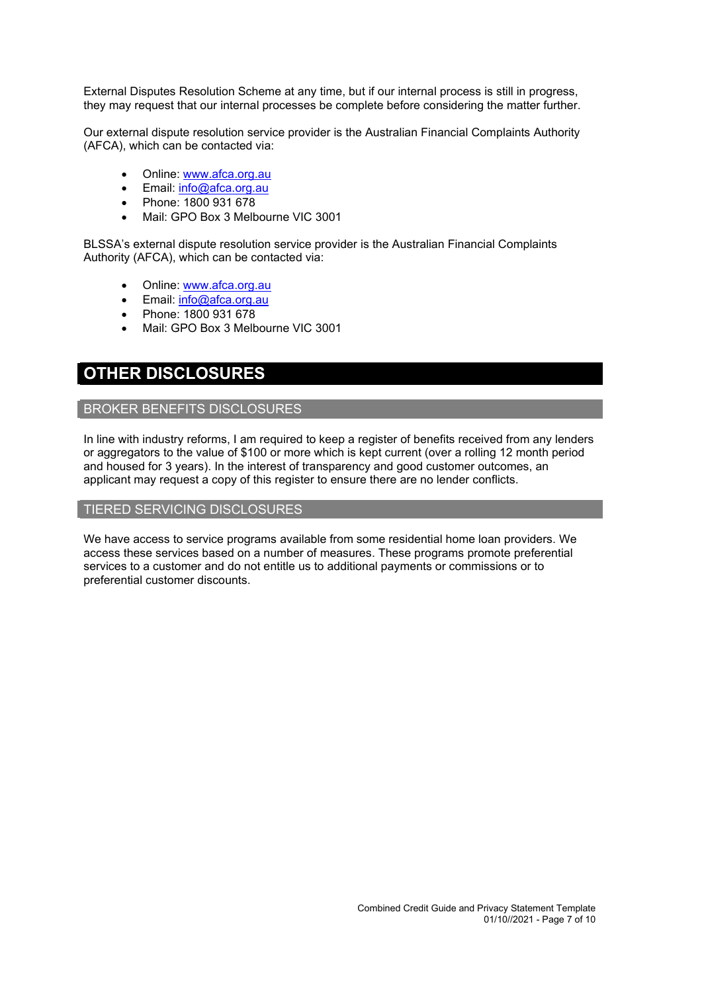External Disputes Resolution Scheme at any time, but if our internal process is still in progress, they may request that our internal processes be complete before considering the matter further.

Our external dispute resolution service provider is the Australian Financial Complaints Authority (AFCA), which can be contacted via:

- Online: [www.afca.org.au](http://www.afca.org.au/)
- Email: [info@afca.org.au](mailto:info@afc.org.au)
- Phone: 1800 931 678
- Mail: GPO Box 3 Melbourne VIC 3001

BLSSA's external dispute resolution service provider is the Australian Financial Complaints Authority (AFCA), which can be contacted via:

- Online: [www.afca.org.au](http://www.afca.org.au/)
- Email: [info@afca.org.au](mailto:info@afc.org.au)
- Phone: 1800 931 678
- Mail: GPO Box 3 Melbourne VIC 3001

# **OTHER DISCLOSURES**

# BROKER BENEFITS DISCLOSURES

In line with industry reforms, I am required to keep a register of benefits received from any lenders or aggregators to the value of \$100 or more which is kept current (over a rolling 12 month period and housed for 3 years). In the interest of transparency and good customer outcomes, an applicant may request a copy of this register to ensure there are no lender conflicts.

#### TIERED SERVICING DISCLOSURES

We have access to service programs available from some residential home loan providers. We access these services based on a number of measures. These programs promote preferential services to a customer and do not entitle us to additional payments or commissions or to preferential customer discounts.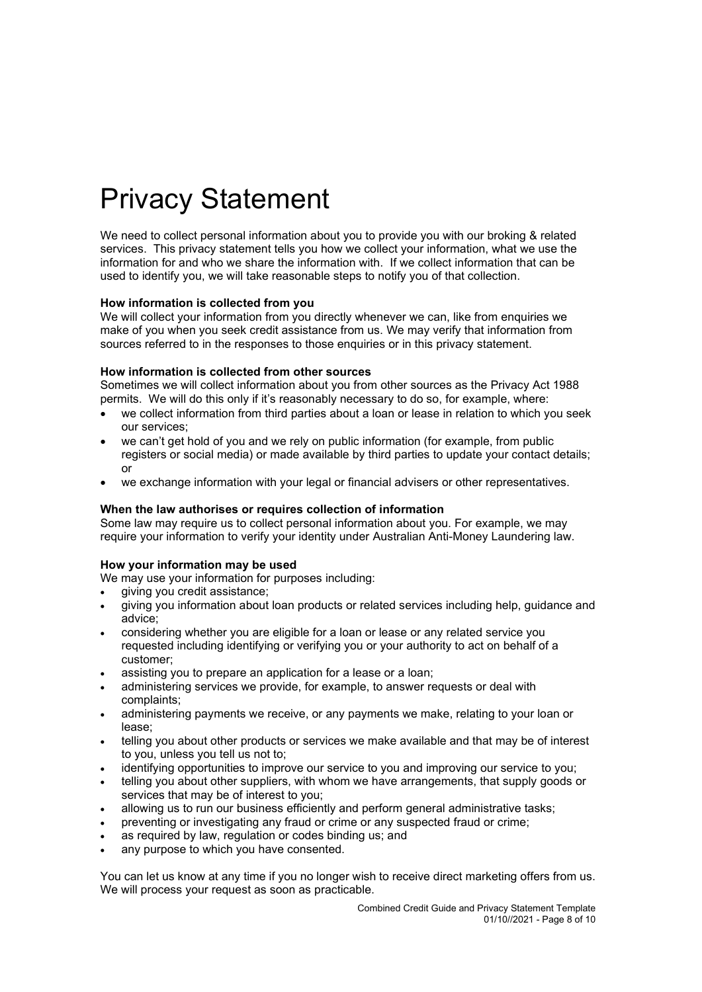# Privacy Statement

We need to collect personal information about you to provide you with our broking & related services. This privacy statement tells you how we collect your information, what we use the information for and who we share the information with. If we collect information that can be used to identify you, we will take reasonable steps to notify you of that collection.

#### **How information is collected from you**

We will collect your information from you directly whenever we can, like from enquiries we make of you when you seek credit assistance from us. We may verify that information from sources referred to in the responses to those enquiries or in this privacy statement.

#### **How information is collected from other sources**

Sometimes we will collect information about you from other sources as the Privacy Act 1988 permits. We will do this only if it's reasonably necessary to do so, for example, where:

- we collect information from third parties about a loan or lease in relation to which you seek our services;
- we can't get hold of you and we rely on public information (for example, from public registers or social media) or made available by third parties to update your contact details; or
- we exchange information with your legal or financial advisers or other representatives.

#### **When the law authorises or requires collection of information**

Some law may require us to collect personal information about you. For example, we may require your information to verify your identity under Australian Anti-Money Laundering law.

#### **How your information may be used**

We may use your information for purposes including:

- giving you credit assistance;
- giving you information about loan products or related services including help, guidance and advice;
- considering whether you are eligible for a loan or lease or any related service you requested including identifying or verifying you or your authority to act on behalf of a customer;
- assisting you to prepare an application for a lease or a loan;
- administering services we provide, for example, to answer requests or deal with complaints;
- administering payments we receive, or any payments we make, relating to your loan or lease;
- telling you about other products or services we make available and that may be of interest to you, unless you tell us not to;
- identifying opportunities to improve our service to you and improving our service to you;
- telling you about other suppliers, with whom we have arrangements, that supply goods or services that may be of interest to you;
- allowing us to run our business efficiently and perform general administrative tasks;
- preventing or investigating any fraud or crime or any suspected fraud or crime;
- as required by law, regulation or codes binding us; and
- any purpose to which you have consented.

You can let us know at any time if you no longer wish to receive direct marketing offers from us. We will process your request as soon as practicable.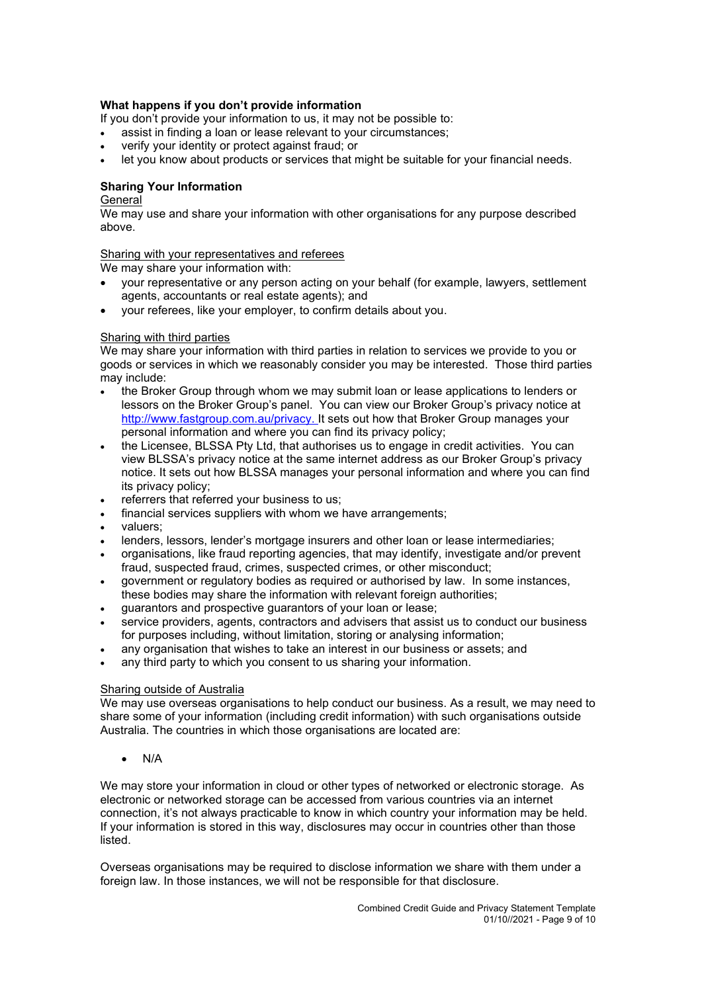#### **What happens if you don't provide information**

If you don't provide your information to us, it may not be possible to:

- assist in finding a loan or lease relevant to your circumstances;
- verify your identity or protect against fraud; or
- let you know about products or services that might be suitable for your financial needs.

## **Sharing Your Information**

#### General

We may use and share your information with other organisations for any purpose described above.

#### Sharing with your representatives and referees

We may share your information with:

- your representative or any person acting on your behalf (for example, lawyers, settlement agents, accountants or real estate agents); and
- your referees, like your employer, to confirm details about you.

#### Sharing with third parties

We may share your information with third parties in relation to services we provide to you or goods or services in which we reasonably consider you may be interested. Those third parties may include:

- the Broker Group through whom we may submit loan or lease applications to lenders or lessors on the Broker Group's panel. You can view our Broker Group's privacy notice at [http://www.fastgroup.com.au/privacy.](http://www.fastgroup.com.au/privacy) It sets out how that Broker Group manages your personal information and where you can find its privacy policy;
- the Licensee, BLSSA Pty Ltd, that authorises us to engage in credit activities. You can view BLSSA's privacy notice at the same internet address as our Broker Group's privacy notice. It sets out how BLSSA manages your personal information and where you can find its privacy policy;
- referrers that referred your business to us:
- financial services suppliers with whom we have arrangements;
- valuers;
- lenders, lessors, lender's mortgage insurers and other loan or lease intermediaries;
- organisations, like fraud reporting agencies, that may identify, investigate and/or prevent fraud, suspected fraud, crimes, suspected crimes, or other misconduct;
- government or regulatory bodies as required or authorised by law. In some instances, these bodies may share the information with relevant foreign authorities;
- guarantors and prospective guarantors of your loan or lease;
- service providers, agents, contractors and advisers that assist us to conduct our business for purposes including, without limitation, storing or analysing information;
- any organisation that wishes to take an interest in our business or assets; and
- any third party to which you consent to us sharing your information.

#### Sharing outside of Australia

We may use overseas organisations to help conduct our business. As a result, we may need to share some of your information (including credit information) with such organisations outside Australia. The countries in which those organisations are located are:

• N/A

We may store your information in cloud or other types of networked or electronic storage. As electronic or networked storage can be accessed from various countries via an internet connection, it's not always practicable to know in which country your information may be held. If your information is stored in this way, disclosures may occur in countries other than those listed.

Overseas organisations may be required to disclose information we share with them under a foreign law. In those instances, we will not be responsible for that disclosure.